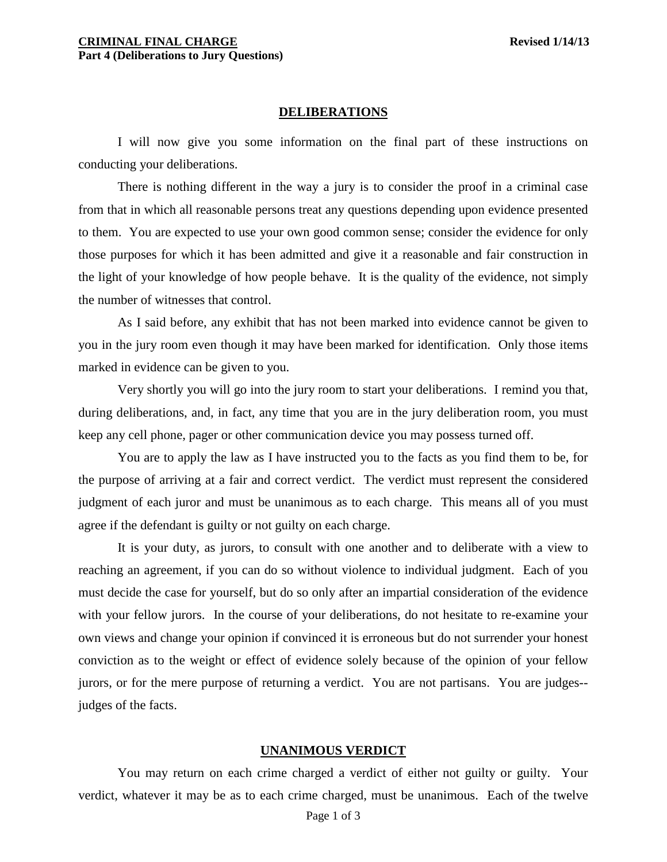#### **DELIBERATIONS**

I will now give you some information on the final part of these instructions on conducting your deliberations.

There is nothing different in the way a jury is to consider the proof in a criminal case from that in which all reasonable persons treat any questions depending upon evidence presented to them. You are expected to use your own good common sense; consider the evidence for only those purposes for which it has been admitted and give it a reasonable and fair construction in the light of your knowledge of how people behave. It is the quality of the evidence, not simply the number of witnesses that control.

As I said before, any exhibit that has not been marked into evidence cannot be given to you in the jury room even though it may have been marked for identification. Only those items marked in evidence can be given to you.

Very shortly you will go into the jury room to start your deliberations. I remind you that, during deliberations, and, in fact, any time that you are in the jury deliberation room, you must keep any cell phone, pager or other communication device you may possess turned off.

You are to apply the law as I have instructed you to the facts as you find them to be, for the purpose of arriving at a fair and correct verdict. The verdict must represent the considered judgment of each juror and must be unanimous as to each charge. This means all of you must agree if the defendant is guilty or not guilty on each charge.

It is your duty, as jurors, to consult with one another and to deliberate with a view to reaching an agreement, if you can do so without violence to individual judgment. Each of you must decide the case for yourself, but do so only after an impartial consideration of the evidence with your fellow jurors. In the course of your deliberations, do not hesitate to re-examine your own views and change your opinion if convinced it is erroneous but do not surrender your honest conviction as to the weight or effect of evidence solely because of the opinion of your fellow jurors, or for the mere purpose of returning a verdict. You are not partisans. You are judges- judges of the facts.

#### **UNANIMOUS VERDICT**

<span id="page-0-0"></span>You may return on each crime charged a verdict of either not guilty or guilty. Your verdict, whatever it may be as to each crime charged, must be unanimous. Each of the twelve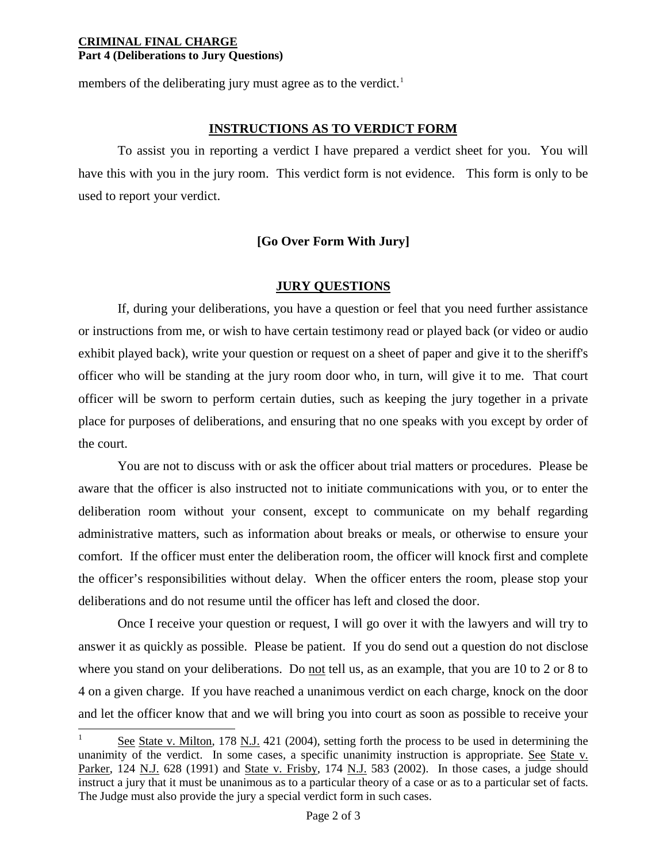#### **CRIMINAL FINAL CHARGE Part 4 (Deliberations to Jury Questions)**

members of the deliberating jury must agree as to the verdict.<sup>[1](#page-0-0)</sup>

# **INSTRUCTIONS AS TO VERDICT FORM**

To assist you in reporting a verdict I have prepared a verdict sheet for you. You will have this with you in the jury room. This verdict form is not evidence. This form is only to be used to report your verdict.

## **[Go Over Form With Jury]**

## **JURY QUESTIONS**

If, during your deliberations, you have a question or feel that you need further assistance or instructions from me, or wish to have certain testimony read or played back (or video or audio exhibit played back), write your question or request on a sheet of paper and give it to the sheriff's officer who will be standing at the jury room door who, in turn, will give it to me. That court officer will be sworn to perform certain duties, such as keeping the jury together in a private place for purposes of deliberations, and ensuring that no one speaks with you except by order of the court.

You are not to discuss with or ask the officer about trial matters or procedures. Please be aware that the officer is also instructed not to initiate communications with you, or to enter the deliberation room without your consent, except to communicate on my behalf regarding administrative matters, such as information about breaks or meals, or otherwise to ensure your comfort. If the officer must enter the deliberation room, the officer will knock first and complete the officer's responsibilities without delay. When the officer enters the room, please stop your deliberations and do not resume until the officer has left and closed the door.

Once I receive your question or request, I will go over it with the lawyers and will try to answer it as quickly as possible. Please be patient. If you do send out a question do not disclose where you stand on your deliberations. Do not tell us, as an example, that you are 10 to 2 or 8 to 4 on a given charge. If you have reached a unanimous verdict on each charge, knock on the door and let the officer know that and we will bring you into court as soon as possible to receive your

 $\overline{a}$ See State v. Milton, 178 N.J. 421 (2004), setting forth the process to be used in determining the unanimity of the verdict. In some cases, a specific unanimity instruction is appropriate. See State v. Parker, 124 N.J. 628 (1991) and State v. Frisby, 174 N.J. 583 (2002). In those cases, a judge should instruct a jury that it must be unanimous as to a particular theory of a case or as to a particular set of facts. The Judge must also provide the jury a special verdict form in such cases.